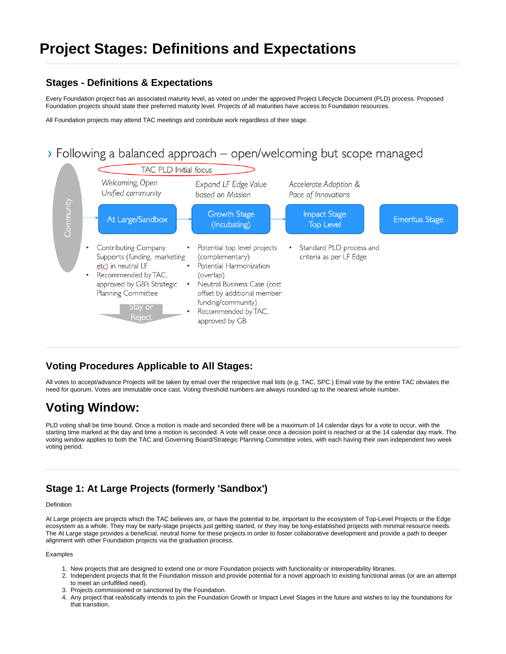# **Project Stages: Definitions and Expectations**

### **Stages - Definitions & Expectations**

Every Foundation project has an associated maturity level, as voted on under the approved Project Lifecycle Document (PLD) process. Proposed Foundation projects should state their preferred maturity level. Projects of all maturities have access to Foundation resources.

All Foundation projects may attend TAC meetings and contribute work regardless of their stage.

# > Following a balanced approach – open/welcoming but scope managed



### **Voting Procedures Applicable to All Stages:**

All votes to accept/advance Projects will be taken by email over the respective mail lists (e.g. TAC, SPC.) Email vote by the entire TAC obviates the need for quorum. Votes are immutable once cast. Voting threshold numbers are always rounded up to the nearest whole number.

# **Voting Window:**

PLD voting shall be time bound. Once a motion is made and seconded there will be a maximum of 14 calendar days for a vote to occur, with the starting time marked at the day and time a motion is seconded. A vote will cease once a decision point is reached or at the 14 calendar day mark. The voting window applies to both the TAC and Governing Board/Strategic Planning Committee votes, with each having their own independent two week voting period.

## **Stage 1: At Large Projects (formerly 'Sandbox')**

#### Definition

At Large projects are projects which the TAC believes are, or have the potential to be, important to the ecosystem of Top-Level Projects or the Edge ecosystem as a whole. They may be early-stage projects just getting started, or they may be long-established projects with minimal resource needs. The At Large stage provides a beneficial, neutral home for these projects in order to foster collaborative development and provide a path to deeper alignment with other Foundation projects via the graduation process.

#### Examples

- 1. New projects that are designed to extend one or more Foundation projects with functionality or interoperability libraries.
- 2. Independent projects that fit the Foundation mission and provide potential for a novel approach to existing functional areas (or are an attempt to meet an unfulfilled need).
- 3. Projects commissioned or sanctioned by the Foundation.
- 4. Any project that realistically intends to join the Foundation Growth or Impact Level Stages in the future and wishes to lay the foundations for that transition.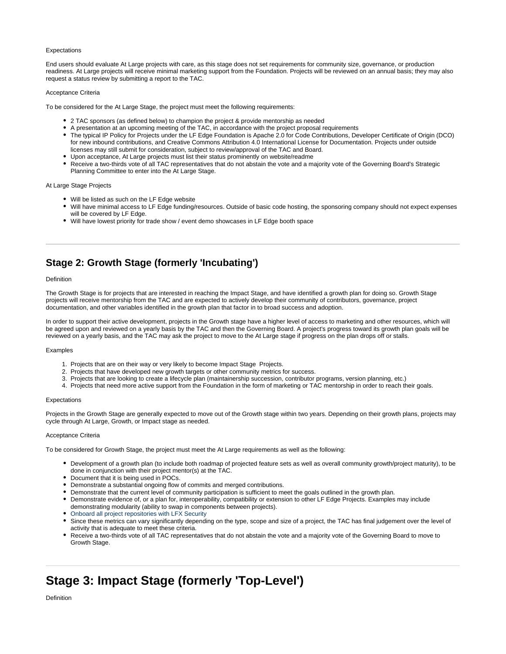#### Expectations

End users should evaluate At Large projects with care, as this stage does not set requirements for community size, governance, or production readiness. At Large projects will receive minimal marketing support from the Foundation. Projects will be reviewed on an annual basis; they may also request a status review by submitting a report to the TAC.

#### Acceptance Criteria

To be considered for the At Large Stage, the project must meet the following requirements:

- 2 TAC sponsors (as defined below) to champion the project & provide mentorship as needed
- A presentation at an upcoming meeting of the TAC, in accordance with the project proposal requirements
- The typical IP Policy for Projects under the LF Edge Foundation is Apache 2.0 for Code Contributions, Developer Certificate of Origin (DCO) for new inbound contributions, and Creative Commons Attribution 4.0 International License for Documentation. Projects under outside licenses may still submit for consideration, subject to review/approval of the TAC and Board.
- Upon acceptance, At Large projects must list their status prominently on website/readme
- Receive a two-thirds vote of all TAC representatives that do not abstain the vote and a majority vote of the Governing Board's Strategic Planning Committee to enter into the At Large Stage.

At Large Stage Projects

- Will be listed as such on the LF Edge website
- Will have minimal access to LF Edge funding/resources. Outside of basic code hosting, the sponsoring company should not expect expenses will be covered by LF Edge.
- Will have lowest priority for trade show / event demo showcases in LF Edge booth space

### **Stage 2: Growth Stage (formerly 'Incubating')**

#### Definition

The Growth Stage is for projects that are interested in reaching the Impact Stage, and have identified a growth plan for doing so. Growth Stage projects will receive mentorship from the TAC and are expected to actively develop their community of contributors, governance, project documentation, and other variables identified in the growth plan that factor in to broad success and adoption.

In order to support their active development, projects in the Growth stage have a higher level of access to marketing and other resources, which will be agreed upon and reviewed on a yearly basis by the TAC and then the Governing Board. A project's progress toward its growth plan goals will be reviewed on a yearly basis, and the TAC may ask the project to move to the At Large stage if progress on the plan drops off or stalls.

#### Examples

- 1. Projects that are on their way or very likely to become Impact Stage Projects.
- 2. Projects that have developed new growth targets or other community metrics for success.
- 3. Projects that are looking to create a lifecycle plan (maintainership succession, contributor programs, version planning, etc.)
- 4. Projects that need more active support from the Foundation in the form of marketing or TAC mentorship in order to reach their goals.

#### **Expectations**

Projects in the Growth Stage are generally expected to move out of the Growth stage within two years. Depending on their growth plans, projects may cycle through At Large, Growth, or Impact stage as needed.

#### Acceptance Criteria

To be considered for Growth Stage, the project must meet the At Large requirements as well as the following:

- Development of a growth plan (to include both roadmap of projected feature sets as well as overall community growth/project maturity), to be done in conjunction with their project mentor(s) at the TAC.
- Document that it is being used in POCs.
- Demonstrate a substantial ongoing flow of commits and merged contributions.
- Demonstrate that the current level of community participation is sufficient to meet the goals outlined in the growth plan.
- Demonstrate evidence of, or a plan for, interoperability, compatibility or extension to other LF Edge Projects. Examples may include demonstrating modularity (ability to swap in components between projects).
- Onboard all project repositories with [LFX Security](https://lfx.linuxfoundation.org/tools/security)
- Since these metrics can vary significantly depending on the type, scope and size of a project, the TAC has final judgement over the level of activity that is adequate to meet these criteria.
- Receive a two-thirds vote of all TAC representatives that do not abstain the vote and a majority vote of the Governing Board to move to Growth Stage.

## **Stage 3: Impact Stage (formerly 'Top-Level')**

Definition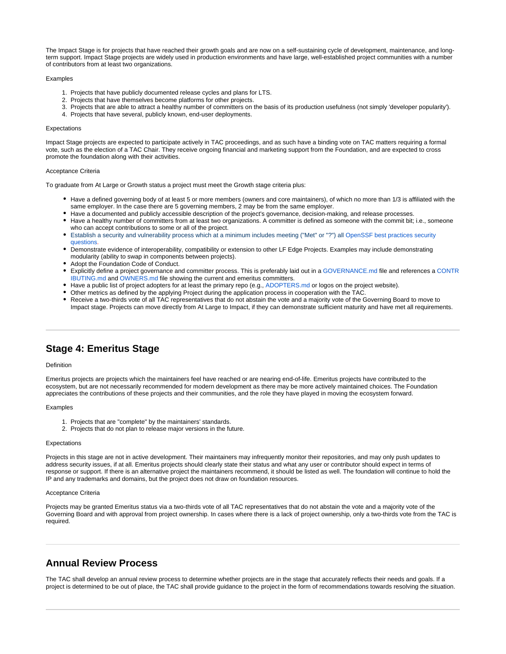The Impact Stage is for projects that have reached their growth goals and are now on a self-sustaining cycle of development, maintenance, and longterm support. Impact Stage projects are widely used in production environments and have large, well-established project communities with a number of contributors from at least two organizations.

#### Examples

- 1. Projects that have publicly documented release cycles and plans for LTS.
- 2. Projects that have themselves become platforms for other projects.
- 3. Projects that are able to attract a healthy number of committers on the basis of its production usefulness (not simply 'developer popularity').
- 4. Projects that have several, publicly known, end-user deployments.

#### **Expectations**

Impact Stage projects are expected to participate actively in TAC proceedings, and as such have a binding vote on TAC matters requiring a formal vote, such as the election of a TAC Chair. They receive ongoing financial and marketing support from the Foundation, and are expected to cross promote the foundation along with their activities.

#### Acceptance Criteria

To graduate from At Large or Growth status a project must meet the Growth stage criteria plus:

- Have a defined governing body of at least 5 or more members (owners and core maintainers), of which no more than 1/3 is affiliated with the same employer. In the case there are 5 governing members, 2 may be from the same employer.
- Have a documented and publicly accessible description of the project's governance, decision-making, and release processes.
- Have a healthy number of committers from at least two organizations. A committer is defined as someone with the commit bit; i.e., someone who can accept contributions to some or all of the project.
- Establish a security and vulnerability process which at a minimum includes meeting ("Met" or "?") all [OpenSSF best practices security](https://bestpractices.coreinfrastructure.org/en/projects/4336#security)  [questions.](https://bestpractices.coreinfrastructure.org/en/projects/4336#security)
- Demonstrate evidence of interoperability, compatibility or extension to other LF Edge Projects. Examples may include demonstrating modularity (ability to swap in components between projects).
- Adopt the Foundation Code of Conduct.
- Explicitly define a project governance and committer process. This is preferably laid out in a [GOVERNANCE.md](http://GOVERNANCE.md) file and references a [CONTR](http://CONTRIBUTING.md) [IBUTING.md](http://CONTRIBUTING.md) and [OWNERS.md](http://OWNERS.md) file showing the current and emeritus committers.
- Have a public list of project adopters for at least the primary repo (e.g., [ADOPTERS.md](http://ADOPTERS.md) or logos on the project website).
- Other metrics as defined by the applying Project during the application process in cooperation with the TAC.
- Receive a two-thirds vote of all TAC representatives that do not abstain the vote and a majority vote of the Governing Board to move to Impact stage. Projects can move directly from At Large to Impact, if they can demonstrate sufficient maturity and have met all requirements.

### **Stage 4: Emeritus Stage**

#### Definition

Emeritus projects are projects which the maintainers feel have reached or are nearing end-of-life. Emeritus projects have contributed to the ecosystem, but are not necessarily recommended for modern development as there may be more actively maintained choices. The Foundation appreciates the contributions of these projects and their communities, and the role they have played in moving the ecosystem forward.

#### Examples

- 1. Projects that are "complete" by the maintainers' standards.
- 2. Projects that do not plan to release major versions in the future.

#### **Expectations**

Projects in this stage are not in active development. Their maintainers may infrequently monitor their repositories, and may only push updates to address security issues, if at all. Emeritus projects should clearly state their status and what any user or contributor should expect in terms of response or support. If there is an alternative project the maintainers recommend, it should be listed as well. The foundation will continue to hold the IP and any trademarks and domains, but the project does not draw on foundation resources.

#### Acceptance Criteria

Projects may be granted Emeritus status via a two-thirds vote of all TAC representatives that do not abstain the vote and a majority vote of the Governing Board and with approval from project ownership. In cases where there is a lack of project ownership, only a two-thirds vote from the TAC is required.

### **Annual Review Process**

The TAC shall develop an annual review process to determine whether projects are in the stage that accurately reflects their needs and goals. If a project is determined to be out of place, the TAC shall provide guidance to the project in the form of recommendations towards resolving the situation.